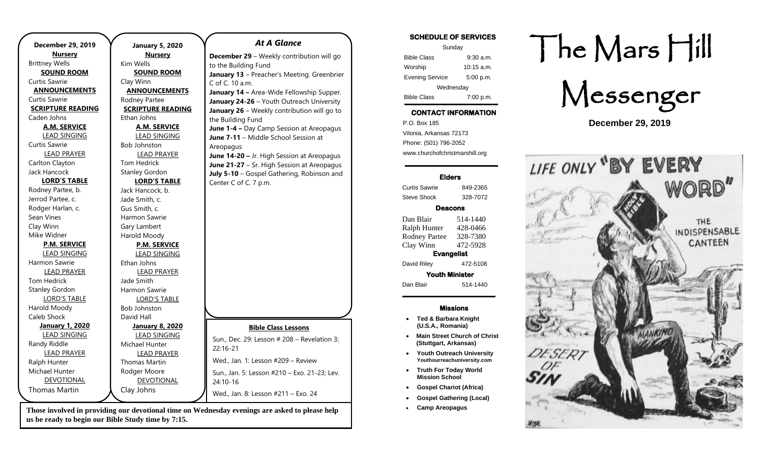|                          | December 29, 2019      | J                |
|--------------------------|------------------------|------------------|
|                          | <b>Nursery</b>         |                  |
|                          | <b>Brittney Wells</b>  | Kim <sup>1</sup> |
|                          | <b>SOUND ROOM</b>      |                  |
| <b>Curtis Sawrie</b>     |                        | Clay             |
| <b>ANNOUNCEMENTS</b>     |                        | <u>AN</u>        |
| Curtis Sawrie            |                        | Rodr             |
| <b>SCRIPTURE READING</b> |                        | <b>SCR</b>       |
|                          | Caden Johns            | Ethar            |
|                          | <b>A.M. SERVICE</b>    |                  |
|                          | <b>LEAD SINGING</b>    |                  |
|                          | <b>Curtis Sawrie</b>   | Bob.             |
|                          | <b>LEAD PRAYER</b>     |                  |
|                          | Carlton Clayton        | Tom              |
|                          | Jack Hancock           | Stanl            |
| <b>LORD'S TABLE</b>      |                        |                  |
|                          | Rodney Partee, b.      | Jack             |
|                          | Jerrod Partee, c.      | Jade             |
|                          | Rodger Harlan, c.      | Gus :            |
|                          | Sean Vines             | Harm             |
|                          | Clay Winn              | Gary             |
|                          | Mike Widner            | Haro             |
|                          | <b>P.M. SERVICE</b>    |                  |
|                          | <b>LEAD SINGING</b>    |                  |
|                          | Harmon Sawrie          | Ethar            |
|                          | <b>LEAD PRAYER</b>     |                  |
|                          | <b>Tom Hedrick</b>     | Jade             |
|                          | <b>Stanley Gordon</b>  | Harm             |
|                          | <b>LORD'S TABLE</b>    |                  |
|                          | Harold Moody           | Bob.             |
|                          | Caleb Shock            | David            |
|                          | <b>January 1, 2020</b> | J                |
|                          | <b>LEAD SINGING</b>    |                  |
|                          | Randy Riddle           | Mich             |
| <b>LEAD PRAYER</b>       |                        |                  |
|                          | Ralph Hunter           | Thon             |
|                          | Michael Hunter         | Rodo             |
|                          | <b>DEVOTIONAL</b>      |                  |
|                          | <b>Thomas Martin</b>   | Clay             |
|                          |                        |                  |

**January 5, 2020 Nursery** Wells **SOUND ROOM** Winn **ANNOUNCEMENTS** ney Partee **SCRIPTURE READING** n Johns **A.M. SERVICE** LEAD SINGING **Johnston** LEAD PRAYER Hedrick ley Gordon **LORD'S TABLE** Hancock, b. Smith, c. Smith,  $c$ non Sawrie I ambert bld Moody **P.M. SERVICE** LEAD SINGING n Johns LEAD PRAYER Smith non Sawrie LORD'S TABLE Johnston d Hall **January 8, 2020** LEAD SINGING ael Hunter LEAD PRAYER mas Martin ger Moore DEVOTIONAL Johns *At A Glance*  **December 29** – Weekly contribution will go to the Building Fund **January 13** – Preacher's Meeting. Greenbrier C of C. 10 a.m. **January 14 –** Area-Wide Fellowship Supper. **January 24-26** – Youth Outreach University **January 26** – Weekly contribution will go to the Building Fund **June 1-4 –** Day Camp Session at Areopagus **June 7-11** – Middle School Session at Areopagus **June 14-20 –** Jr. High Session at Areopagus **June 21-27** – Sr. High Session at Areopagus **July 5-10** – Gospel Gathering, Robinson and Center C of C. 7 p.m. **Bible Class Lessons** Sun., Dec. 29: Lesson # 208 – Revelation 3; 22:16-21 Wed., Jan. 1: Lesson #209 – Review Sun., Jan. 5: Lesson #210 – Exo. 21-23; Lev. 24:10-16 Wed., Jan. 8: Lesson #211 – Exo. 24

**Those involved in providing our devotional time on Wednesday evenings are asked to please help us be ready to begin our Bible Study time by 7:15.** 

#### **SCHEDULE OF SERVICES**

| Sunday                 |              |  |  |
|------------------------|--------------|--|--|
| <b>Bible Class</b>     | $9:30$ a.m.  |  |  |
| Worship                | $10:15$ a.m. |  |  |
| <b>Evening Service</b> | 5:00 p.m.    |  |  |
| Wednesday              |              |  |  |
| <b>Bible Class</b>     | 7:00 p.m.    |  |  |

## **CONTACT INFORMATION**

. .o. Box 166<br>Vilonia, Arkansas 72173 P.O. Box 185 Phone: (501) 796-2052 www.churchofchristmarshill.org

#### **Elders**

Curtis Sawrie 849-2365 Steve Shock 328-7072

#### **Deacons**

Dan Blair 514-1440 Ralph Hunter 428-0466 Rodney Partee 328-7380 Clay Winn 472-5928 **Evangelist** 

David Riley 472-5108

**Youth Minister**  Dan Blair 514-1440

#### **Missions**

- **Ted & Barbara Knight (U.S.A., Romania)**
- **Main Street Church of Christ (Stuttgart, Arkansas)**
- **Youth Outreach University Youthourreachuniversity.com**
- **Truth For Today World Mission School**
- **Gospel Chariot (Africa)**
- **Gospel Gathering (Local)**
- **Camp Areopagus**

# The Mars Hill

Messenger

**December 29, 2019**